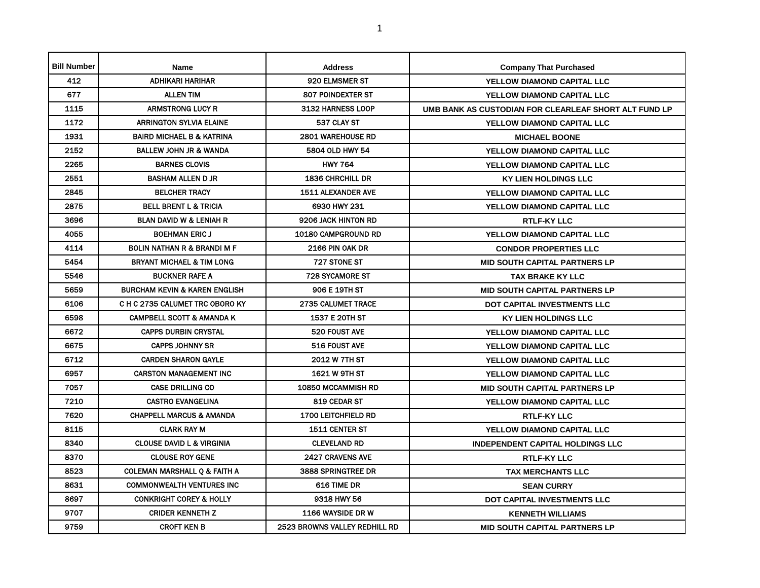| <b>Bill Number</b> | <b>Name</b>                              | <b>Address</b>                | <b>Company That Purchased</b>                         |
|--------------------|------------------------------------------|-------------------------------|-------------------------------------------------------|
| 412                | <b>ADHIKARI HARIHAR</b>                  | 920 ELMSMER ST                | YELLOW DIAMOND CAPITAL LLC                            |
| 677                | <b>ALLEN TIM</b>                         | <b>807 POINDEXTER ST</b>      | YELLOW DIAMOND CAPITAL LLC                            |
| 1115               | <b>ARMSTRONG LUCY R</b>                  | 3132 HARNESS LOOP             | UMB BANK AS CUSTODIAN FOR CLEARLEAF SHORT ALT FUND LP |
| 1172               | <b>ARRINGTON SYLVIA ELAINE</b>           | 537 CLAY ST                   | YELLOW DIAMOND CAPITAL LLC                            |
| 1931               | <b>BAIRD MICHAEL B &amp; KATRINA</b>     | 2801 WAREHOUSE RD             | <b>MICHAEL BOONE</b>                                  |
| 2152               | <b>BALLEW JOHN JR &amp; WANDA</b>        | 5804 OLD HWY 54               | YELLOW DIAMOND CAPITAL LLC                            |
| 2265               | <b>BARNES CLOVIS</b>                     | <b>HWY 764</b>                | YELLOW DIAMOND CAPITAL LLC                            |
| 2551               | <b>BASHAM ALLEN D JR</b>                 | <b>1836 CHRCHILL DR</b>       | <b>KY LIEN HOLDINGS LLC</b>                           |
| 2845               | <b>BELCHER TRACY</b>                     | <b>1511 ALEXANDER AVE</b>     | YELLOW DIAMOND CAPITAL LLC                            |
| 2875               | <b>BELL BRENT L &amp; TRICIA</b>         | 6930 HWY 231                  | YELLOW DIAMOND CAPITAL LLC                            |
| 3696               | <b>BLAN DAVID W &amp; LENIAH R</b>       | 9206 JACK HINTON RD           | <b>RTLF-KY LLC</b>                                    |
| 4055               | <b>BOEHMAN ERIC J</b>                    | 10180 CAMPGROUND RD           | YELLOW DIAMOND CAPITAL LLC                            |
| 4114               | <b>BOLIN NATHAN R &amp; BRANDI M F</b>   | 2166 PIN OAK DR               | <b>CONDOR PROPERTIES LLC</b>                          |
| 5454               | <b>BRYANT MICHAEL &amp; TIM LONG</b>     | 727 STONE ST                  | <b>MID SOUTH CAPITAL PARTNERS LP</b>                  |
| 5546               | <b>BUCKNER RAFE A</b>                    | <b>728 SYCAMORE ST</b>        | TAX BRAKE KY LLC                                      |
| 5659               | <b>BURCHAM KEVIN &amp; KAREN ENGLISH</b> | 906 E 19TH ST                 | <b>MID SOUTH CAPITAL PARTNERS LP</b>                  |
| 6106               | C H C 2735 CALUMET TRC OBORO KY          | <b>2735 CALUMET TRACE</b>     | DOT CAPITAL INVESTMENTS LLC                           |
| 6598               | <b>CAMPBELL SCOTT &amp; AMANDA K</b>     | 1537 E 20TH ST                | <b>KY LIEN HOLDINGS LLC</b>                           |
| 6672               | <b>CAPPS DURBIN CRYSTAL</b>              | 520 FOUST AVE                 | YELLOW DIAMOND CAPITAL LLC                            |
| 6675               | <b>CAPPS JOHNNY SR</b>                   | 516 FOUST AVE                 | YELLOW DIAMOND CAPITAL LLC                            |
| 6712               | <b>CARDEN SHARON GAYLE</b>               | 2012 W 7TH ST                 | YELLOW DIAMOND CAPITAL LLC                            |
| 6957               | <b>CARSTON MANAGEMENT INC</b>            | <b>1621 W 9TH ST</b>          | YELLOW DIAMOND CAPITAL LLC                            |
| 7057               | <b>CASE DRILLING CO</b>                  | 10850 MCCAMMISH RD            | <b>MID SOUTH CAPITAL PARTNERS LP</b>                  |
| 7210               | <b>CASTRO EVANGELINA</b>                 | 819 CEDAR ST                  | YELLOW DIAMOND CAPITAL LLC                            |
| 7620               | <b>CHAPPELL MARCUS &amp; AMANDA</b>      | <b>1700 LEITCHFIELD RD</b>    | <b>RTLF-KY LLC</b>                                    |
| 8115               | <b>CLARK RAY M</b>                       | <b>1511 CENTER ST</b>         | YELLOW DIAMOND CAPITAL LLC                            |
| 8340               | <b>CLOUSE DAVID L &amp; VIRGINIA</b>     | <b>CLEVELAND RD</b>           | <b>INDEPENDENT CAPITAL HOLDINGS LLC</b>               |
| 8370               | <b>CLOUSE ROY GENE</b>                   | <b>2427 CRAVENS AVE</b>       | <b>RTLF-KY LLC</b>                                    |
| 8523               | <b>COLEMAN MARSHALL Q &amp; FAITH A</b>  | 3888 SPRINGTREE DR            | <b>TAX MERCHANTS LLC</b>                              |
| 8631               | <b>COMMONWEALTH VENTURES INC</b>         | 616 TIME DR                   | <b>SEAN CURRY</b>                                     |
| 8697               | <b>CONKRIGHT COREY &amp; HOLLY</b>       | 9318 HWY 56                   | <b>DOT CAPITAL INVESTMENTS LLC</b>                    |
| 9707               | <b>CRIDER KENNETH Z</b>                  | 1166 WAYSIDE DR W             | <b>KENNETH WILLIAMS</b>                               |
| 9759               | <b>CROFT KEN B</b>                       | 2523 BROWNS VALLEY REDHILL RD | <b>MID SOUTH CAPITAL PARTNERS LP</b>                  |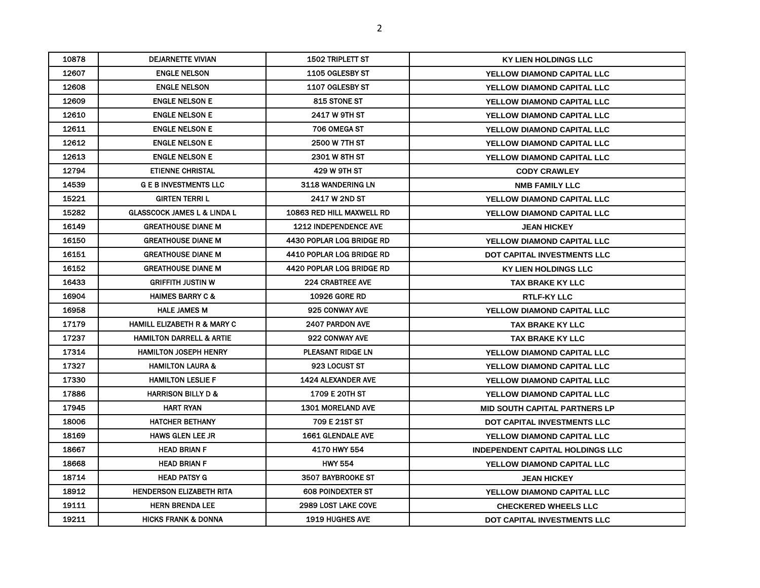| 10878 | <b>DEJARNETTE VIVIAN</b>               | <b>1502 TRIPLETT ST</b>          | KY LIEN HOLDINGS LLC                    |
|-------|----------------------------------------|----------------------------------|-----------------------------------------|
| 12607 | <b>ENGLE NELSON</b>                    | 1105 OGLESBY ST                  | <b>YELLOW DIAMOND CAPITAL LLC</b>       |
| 12608 | <b>ENGLE NELSON</b>                    | 1107 OGLESBY ST                  | <b>YELLOW DIAMOND CAPITAL LLC</b>       |
| 12609 | <b>ENGLE NELSON E</b>                  | <b>815 STONE ST</b>              | <b>YELLOW DIAMOND CAPITAL LLC</b>       |
| 12610 | <b>ENGLE NELSON E</b>                  | <b>2417 W 9TH ST</b>             | <b>YELLOW DIAMOND CAPITAL LLC</b>       |
| 12611 | <b>ENGLE NELSON E</b>                  | 706 OMEGA ST                     | <b>YELLOW DIAMOND CAPITAL LLC</b>       |
| 12612 | <b>ENGLE NELSON E</b>                  | <b>2500 W 7TH ST</b>             | YELLOW DIAMOND CAPITAL LLC              |
| 12613 | <b>ENGLE NELSON E</b>                  | <b>2301 W 8TH ST</b>             | YELLOW DIAMOND CAPITAL LLC              |
| 12794 | <b>ETIENNE CHRISTAL</b>                | 429 W 9TH ST                     | <b>CODY CRAWLEY</b>                     |
| 14539 | <b>G E B INVESTMENTS LLC</b>           | 3118 WANDERING LN                | <b>NMB FAMILY LLC</b>                   |
| 15221 | <b>GIRTEN TERRIL</b>                   | <b>2417 W 2ND ST</b>             | YELLOW DIAMOND CAPITAL LLC              |
| 15282 | <b>GLASSCOCK JAMES L &amp; LINDA L</b> | <b>10863 RED HILL MAXWELL RD</b> | YELLOW DIAMOND CAPITAL LLC              |
| 16149 | <b>GREATHOUSE DIANE M</b>              | <b>1212 INDEPENDENCE AVE</b>     | <b>JEAN HICKEY</b>                      |
| 16150 | <b>GREATHOUSE DIANE M</b>              | 4430 POPLAR LOG BRIDGE RD        | <b>YELLOW DIAMOND CAPITAL LLC</b>       |
| 16151 | <b>GREATHOUSE DIANE M</b>              | 4410 POPLAR LOG BRIDGE RD        | <b>DOT CAPITAL INVESTMENTS LLC</b>      |
| 16152 | <b>GREATHOUSE DIANE M</b>              | 4420 POPLAR LOG BRIDGE RD        | <b>KY LIEN HOLDINGS LLC</b>             |
| 16433 | <b>GRIFFITH JUSTIN W</b>               | <b>224 CRABTREE AVE</b>          | <b>TAX BRAKE KY LLC</b>                 |
| 16904 | <b>HAIMES BARRY C &amp;</b>            | <b>10926 GORE RD</b>             | <b>RTLF-KY LLC</b>                      |
| 16958 | <b>HALE JAMES M</b>                    | 925 CONWAY AVE                   | YELLOW DIAMOND CAPITAL LLC              |
| 17179 | <b>HAMILL ELIZABETH R &amp; MARY C</b> | <b>2407 PARDON AVE</b>           | <b>TAX BRAKE KY LLC</b>                 |
| 17237 | <b>HAMILTON DARRELL &amp; ARTIE</b>    | 922 CONWAY AVE                   | <b>TAX BRAKE KY LLC</b>                 |
| 17314 | <b>HAMILTON JOSEPH HENRY</b>           | PLEASANT RIDGE LN                | YELLOW DIAMOND CAPITAL LLC              |
| 17327 | <b>HAMILTON LAURA &amp;</b>            | 923 LOCUST ST                    | YELLOW DIAMOND CAPITAL LLC              |
| 17330 | <b>HAMILTON LESLIE F</b>               | <b>1424 ALEXANDER AVE</b>        | <b>YELLOW DIAMOND CAPITAL LLC</b>       |
| 17886 | <b>HARRISON BILLY D &amp;</b>          | <b>1709 E 20TH ST</b>            | <b>YELLOW DIAMOND CAPITAL LLC</b>       |
| 17945 | <b>HART RYAN</b>                       | <b>1301 MORELAND AVE</b>         | <b>MID SOUTH CAPITAL PARTNERS LP</b>    |
| 18006 | <b>HATCHER BETHANY</b>                 | 709 E 21ST ST                    | DOT CAPITAL INVESTMENTS LLC             |
| 18169 | <b>HAWS GLEN LEE JR</b>                | <b>1661 GLENDALE AVE</b>         | <b>YELLOW DIAMOND CAPITAL LLC</b>       |
| 18667 | <b>HEAD BRIAN F</b>                    | 4170 HWY 554                     | <b>INDEPENDENT CAPITAL HOLDINGS LLC</b> |
| 18668 | <b>HEAD BRIAN F</b>                    | <b>HWY 554</b>                   | YELLOW DIAMOND CAPITAL LLC              |
| 18714 | <b>HEAD PATSY G</b>                    | 3507 BAYBROOKE ST                | <b>JEAN HICKEY</b>                      |
| 18912 | <b>HENDERSON ELIZABETH RITA</b>        | <b>608 POINDEXTER ST</b>         | YELLOW DIAMOND CAPITAL LLC              |
| 19111 | <b>HERN BRENDA LEE</b>                 | <b>2989 LOST LAKE COVE</b>       | <b>CHECKERED WHEELS LLC</b>             |
| 19211 | <b>HICKS FRANK &amp; DONNA</b>         | <b>1919 HUGHES AVE</b>           | DOT CAPITAL INVESTMENTS LLC             |
|       |                                        |                                  |                                         |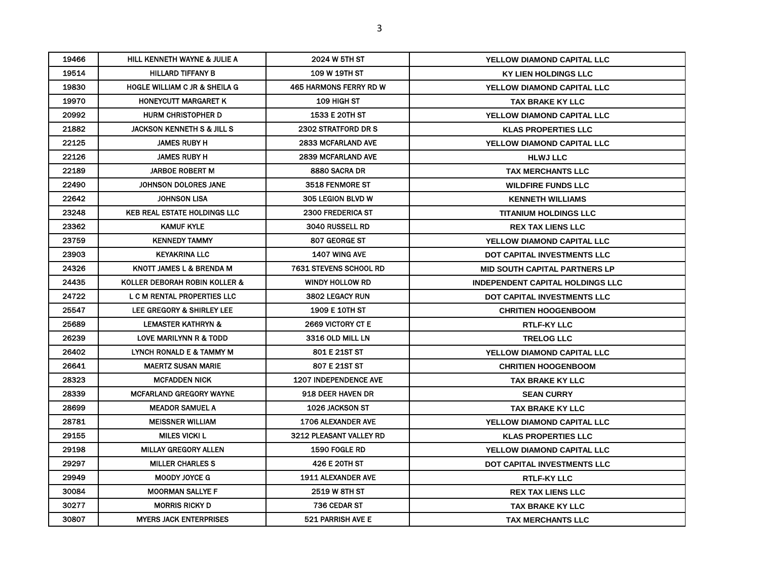| 19466 | <b>HILL KENNETH WAYNE &amp; JULIE A</b>  | 2024 W 5TH ST                 | <b>YELLOW DIAMOND CAPITAL LLC</b>       |
|-------|------------------------------------------|-------------------------------|-----------------------------------------|
| 19514 | <b>HILLARD TIFFANY B</b>                 | <b>109 W 19TH ST</b>          | <b>KY LIEN HOLDINGS LLC</b>             |
| 19830 | <b>HOGLE WILLIAM C JR &amp; SHEILA G</b> | <b>465 HARMONS FERRY RD W</b> | <b>YELLOW DIAMOND CAPITAL LLC</b>       |
| 19970 | HONEYCUTT MARGARET K                     | <b>109 HIGH ST</b>            | <b>TAX BRAKE KY LLC</b>                 |
| 20992 | <b>HURM CHRISTOPHER D</b>                | 1533 E 20TH ST                | <b>YELLOW DIAMOND CAPITAL LLC</b>       |
| 21882 | <b>JACKSON KENNETH S &amp; JILL S</b>    | 2302 STRATFORD DR S           | <b>KLAS PROPERTIES LLC</b>              |
| 22125 | <b>JAMES RUBY H</b>                      | <b>2833 MCFARLAND AVE</b>     | <b>YELLOW DIAMOND CAPITAL LLC</b>       |
| 22126 | <b>JAMES RUBY H</b>                      | <b>2839 MCFARLAND AVE</b>     | <b>HLWJ LLC</b>                         |
| 22189 | <b>JARBOE ROBERT M</b>                   | 8880 SACRA DR                 | <b>TAX MERCHANTS LLC</b>                |
| 22490 | JOHNSON DOLORES JANE                     | <b>3518 FENMORE ST</b>        | <b>WILDFIRE FUNDS LLC</b>               |
| 22642 | <b>JOHNSON LISA</b>                      | <b>305 LEGION BLVD W</b>      | <b>KENNETH WILLIAMS</b>                 |
| 23248 | <b>KEB REAL ESTATE HOLDINGS LLC</b>      | <b>2300 FREDERICA ST</b>      | <b>TITANIUM HOLDINGS LLC</b>            |
| 23362 | <b>KAMUF KYLE</b>                        | <b>3040 RUSSELL RD</b>        | <b>REX TAX LIENS LLC</b>                |
| 23759 | <b>KENNEDY TAMMY</b>                     | 807 GEORGE ST                 | <b>YELLOW DIAMOND CAPITAL LLC</b>       |
| 23903 | <b>KEYAKRINA LLC</b>                     | 1407 WING AVE                 | DOT CAPITAL INVESTMENTS LLC             |
| 24326 | KNOTT JAMES L & BRENDA M                 | <b>7631 STEVENS SCHOOL RD</b> | <b>MID SOUTH CAPITAL PARTNERS LP</b>    |
| 24435 | KOLLER DEBORAH ROBIN KOLLER &            | <b>WINDY HOLLOW RD</b>        | <b>INDEPENDENT CAPITAL HOLDINGS LLC</b> |
| 24722 | L C M RENTAL PROPERTIES LLC              | 3802 LEGACY RUN               | <b>DOT CAPITAL INVESTMENTS LLC</b>      |
| 25547 | LEE GREGORY & SHIRLEY LEE                | <b>1909 E 10TH ST</b>         | <b>CHRITIEN HOOGENBOOM</b>              |
| 25689 | <b>LEMASTER KATHRYN &amp;</b>            | 2669 VICTORY CT E             | <b>RTLF-KY LLC</b>                      |
| 26239 | LOVE MARILYNN R & TODD                   | 3316 OLD MILL LN              | <b>TRELOG LLC</b>                       |
| 26402 | LYNCH RONALD E & TAMMY M                 | 801 E 21ST ST                 | YELLOW DIAMOND CAPITAL LLC              |
| 26641 | <b>MAERTZ SUSAN MARIE</b>                | 807 E 21ST ST                 | <b>CHRITIEN HOOGENBOOM</b>              |
| 28323 | <b>MCFADDEN NICK</b>                     | <b>1207 INDEPENDENCE AVE</b>  | TAX BRAKE KY LLC                        |
| 28339 | <b>MCFARLAND GREGORY WAYNE</b>           | 918 DEER HAVEN DR             | <b>SEAN CURRY</b>                       |
| 28699 | <b>MEADOR SAMUEL A</b>                   | 1026 JACKSON ST               | <b>TAX BRAKE KY LLC</b>                 |
| 28781 | <b>MEISSNER WILLIAM</b>                  | <b>1706 ALEXANDER AVE</b>     | YELLOW DIAMOND CAPITAL LLC              |
| 29155 | <b>MILES VICKI L</b>                     | 3212 PLEASANT VALLEY RD       | <b>KLAS PROPERTIES LLC</b>              |
| 29198 | <b>MILLAY GREGORY ALLEN</b>              | <b>1590 FOGLE RD</b>          | <b>YELLOW DIAMOND CAPITAL LLC</b>       |
| 29297 | <b>MILLER CHARLES S</b>                  | <b>426 E 20TH ST</b>          | DOT CAPITAL INVESTMENTS LLC             |
| 29949 | <b>MOODY JOYCE G</b>                     | <b>1911 ALEXANDER AVE</b>     | <b>RTLF-KY LLC</b>                      |
| 30084 | <b>MOORMAN SALLYE F</b>                  | <b>2519 W 8TH ST</b>          | <b>REX TAX LIENS LLC</b>                |
| 30277 | <b>MORRIS RICKY D</b>                    | 736 CEDAR ST                  | <b>TAX BRAKE KY LLC</b>                 |
| 30807 | <b>MYERS JACK ENTERPRISES</b>            | 521 PARRISH AVE E             | <b>TAX MERCHANTS LLC</b>                |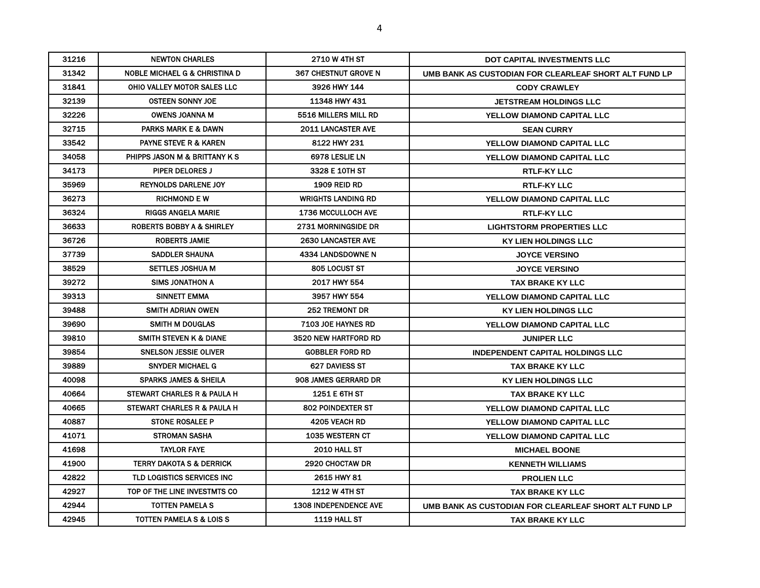| 31216 | <b>NEWTON CHARLES</b>                    | <b>2710 W 4TH ST</b>         | DOT CAPITAL INVESTMENTS LLC                           |
|-------|------------------------------------------|------------------------------|-------------------------------------------------------|
| 31342 | <b>NOBLE MICHAEL G &amp; CHRISTINA D</b> | <b>367 CHESTNUT GROVE N</b>  | UMB BANK AS CUSTODIAN FOR CLEARLEAF SHORT ALT FUND LP |
| 31841 | OHIO VALLEY MOTOR SALES LLC              | 3926 HWY 144                 | <b>CODY CRAWLEY</b>                                   |
| 32139 | <b>OSTEEN SONNY JOE</b>                  | 11348 HWY 431                | <b>JETSTREAM HOLDINGS LLC</b>                         |
| 32226 | <b>OWENS JOANNA M</b>                    | 5516 MILLERS MILL RD         | <b>YELLOW DIAMOND CAPITAL LLC</b>                     |
| 32715 | <b>PARKS MARK E &amp; DAWN</b>           | <b>2011 LANCASTER AVE</b>    | <b>SEAN CURRY</b>                                     |
| 33542 | <b>PAYNE STEVE R &amp; KAREN</b>         | 8122 HWY 231                 | <b>YELLOW DIAMOND CAPITAL LLC</b>                     |
| 34058 | PHIPPS JASON M & BRITTANY K S            | 6978 LESLIE LN               | YELLOW DIAMOND CAPITAL LLC                            |
| 34173 | <b>PIPER DELORES J</b>                   | 3328 E 10TH ST               | <b>RTLF-KY LLC</b>                                    |
| 35969 | <b>REYNOLDS DARLENE JOY</b>              | <b>1909 REID RD</b>          | <b>RTLF-KY LLC</b>                                    |
| 36273 | <b>RICHMOND E W</b>                      | <b>WRIGHTS LANDING RD</b>    | YELLOW DIAMOND CAPITAL LLC                            |
| 36324 | <b>RIGGS ANGELA MARIE</b>                | <b>1736 MCCULLOCH AVE</b>    | <b>RTLF-KY LLC</b>                                    |
| 36633 | <b>ROBERTS BOBBY A &amp; SHIRLEY</b>     | <b>2731 MORNINGSIDE DR</b>   | <b>LIGHTSTORM PROPERTIES LLC</b>                      |
| 36726 | <b>ROBERTS JAMIE</b>                     | <b>2630 LANCASTER AVE</b>    | <b>KY LIEN HOLDINGS LLC</b>                           |
| 37739 | <b>SADDLER SHAUNA</b>                    | 4334 LANDSDOWNE N            | <b>JOYCE VERSINO</b>                                  |
| 38529 | <b>SETTLES JOSHUA M</b>                  | 805 LOCUST ST                | <b>JOYCE VERSINO</b>                                  |
| 39272 | <b>SIMS JONATHON A</b>                   | 2017 HWY 554                 | <b>TAX BRAKE KY LLC</b>                               |
| 39313 | SINNETT EMMA                             | 3957 HWY 554                 | <b>YELLOW DIAMOND CAPITAL LLC</b>                     |
| 39488 | <b>SMITH ADRIAN OWEN</b>                 | <b>252 TREMONT DR</b>        | <b>KY LIEN HOLDINGS LLC</b>                           |
| 39690 | SMITH M DOUGLAS                          | <b>7103 JOE HAYNES RD</b>    | YELLOW DIAMOND CAPITAL LLC                            |
| 39810 | <b>SMITH STEVEN K &amp; DIANE</b>        | 3520 NEW HARTFORD RD         | <b>JUNIPER LLC</b>                                    |
| 39854 | <b>SNELSON JESSIE OLIVER</b>             | <b>GOBBLER FORD RD</b>       | <b>INDEPENDENT CAPITAL HOLDINGS LLC</b>               |
| 39889 | <b>SNYDER MICHAEL G</b>                  | 627 DAVIESS ST               | TAX BRAKE KY LLC                                      |
| 40098 | <b>SPARKS JAMES &amp; SHEILA</b>         | 908 JAMES GERRARD DR         | <b>KY LIEN HOLDINGS LLC</b>                           |
| 40664 | STEWART CHARLES R & PAULA H              | <b>1251 E 6TH ST</b>         | TAX BRAKE KY LLC                                      |
| 40665 | STEWART CHARLES R & PAULA H              | <b>802 POINDEXTER ST</b>     | <b>YELLOW DIAMOND CAPITAL LLC</b>                     |
| 40887 | <b>STONE ROSALEE P</b>                   | 4205 VEACH RD                | YELLOW DIAMOND CAPITAL LLC                            |
| 41071 | <b>STROMAN SASHA</b>                     | <b>1035 WESTERN CT</b>       | <b>YELLOW DIAMOND CAPITAL LLC</b>                     |
| 41698 | <b>TAYLOR FAYE</b>                       | <b>2010 HALL ST</b>          | <b>MICHAEL BOONE</b>                                  |
| 41900 | <b>TERRY DAKOTA S &amp; DERRICK</b>      | 2920 CHOCTAW DR              | <b>KENNETH WILLIAMS</b>                               |
| 42822 | TLD LOGISTICS SERVICES INC               | 2615 HWY 81                  | <b>PROLIEN LLC</b>                                    |
| 42927 | TOP OF THE LINE INVESTMTS CO             | <b>1212 W 4TH ST</b>         | TAX BRAKE KY LLC                                      |
| 42944 | TOTTEN PAMELA S                          | <b>1308 INDEPENDENCE AVE</b> | UMB BANK AS CUSTODIAN FOR CLEARLEAF SHORT ALT FUND LP |
| 42945 | <b>TOTTEN PAMELA S &amp; LOIS S</b>      | 1119 HALL ST                 | TAX BRAKE KY LLC                                      |